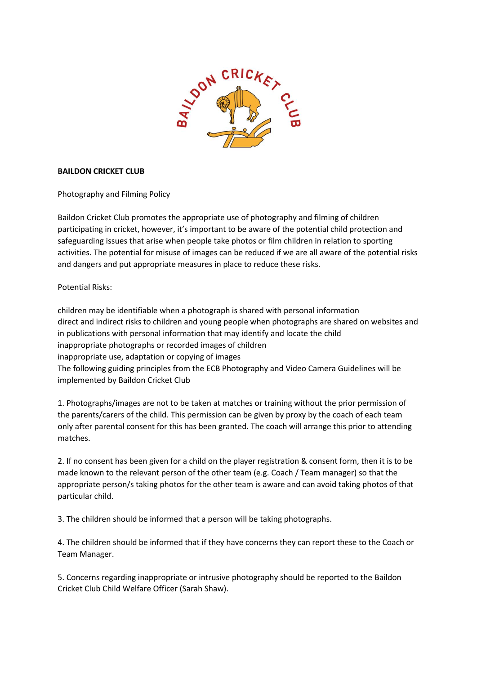

## **BAILDON CRICKET CLUB**

Photography and Filming Policy

Baildon Cricket Club promotes the appropriate use of photography and filming of children participating in cricket, however, it's important to be aware of the potential child protection and safeguarding issues that arise when people take photos or film children in relation to sporting activities. The potential for misuse of images can be reduced if we are all aware of the potential risks and dangers and put appropriate measures in place to reduce these risks.

Potential Risks:

children may be identifiable when a photograph is shared with personal information direct and indirect risks to children and young people when photographs are shared on websites and in publications with personal information that may identify and locate the child inappropriate photographs or recorded images of children inappropriate use, adaptation or copying of images The following guiding principles from the ECB Photography and Video Camera Guidelines will be implemented by Baildon Cricket Club

1. Photographs/images are not to be taken at matches or training without the prior permission of the parents/carers of the child. This permission can be given by proxy by the coach of each team only after parental consent for this has been granted. The coach will arrange this prior to attending matches.

2. If no consent has been given for a child on the player registration & consent form, then it is to be made known to the relevant person of the other team (e.g. Coach / Team manager) so that the appropriate person/s taking photos for the other team is aware and can avoid taking photos of that particular child.

3. The children should be informed that a person will be taking photographs.

4. The children should be informed that if they have concerns they can report these to the Coach or Team Manager.

5. Concerns regarding inappropriate or intrusive photography should be reported to the Baildon Cricket Club Child Welfare Officer (Sarah Shaw).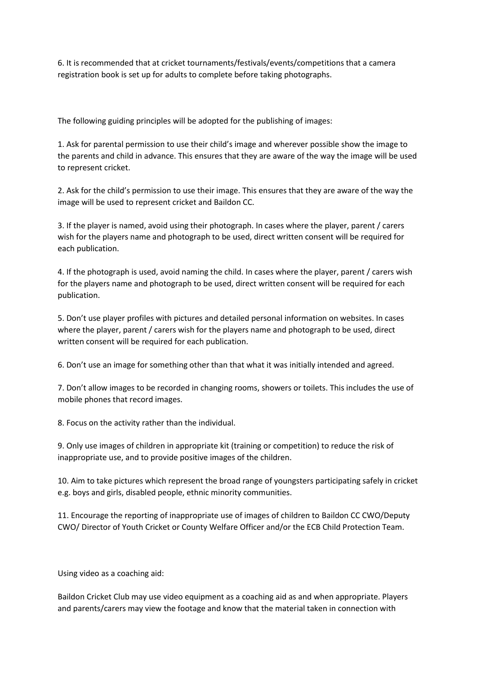6. It is recommended that at cricket tournaments/festivals/events/competitions that a camera registration book is set up for adults to complete before taking photographs.

The following guiding principles will be adopted for the publishing of images:

1. Ask for parental permission to use their child's image and wherever possible show the image to the parents and child in advance. This ensures that they are aware of the way the image will be used to represent cricket.

2. Ask for the child's permission to use their image. This ensures that they are aware of the way the image will be used to represent cricket and Baildon CC.

3. If the player is named, avoid using their photograph. In cases where the player, parent / carers wish for the players name and photograph to be used, direct written consent will be required for each publication.

4. If the photograph is used, avoid naming the child. In cases where the player, parent / carers wish for the players name and photograph to be used, direct written consent will be required for each publication.

5. Don't use player profiles with pictures and detailed personal information on websites. In cases where the player, parent / carers wish for the players name and photograph to be used, direct written consent will be required for each publication.

6. Don't use an image for something other than that what it was initially intended and agreed.

7. Don't allow images to be recorded in changing rooms, showers or toilets. This includes the use of mobile phones that record images.

8. Focus on the activity rather than the individual.

9. Only use images of children in appropriate kit (training or competition) to reduce the risk of inappropriate use, and to provide positive images of the children.

10. Aim to take pictures which represent the broad range of youngsters participating safely in cricket e.g. boys and girls, disabled people, ethnic minority communities.

11. Encourage the reporting of inappropriate use of images of children to Baildon CC CWO/Deputy CWO/ Director of Youth Cricket or County Welfare Officer and/or the ECB Child Protection Team.

Using video as a coaching aid:

Baildon Cricket Club may use video equipment as a coaching aid as and when appropriate. Players and parents/carers may view the footage and know that the material taken in connection with